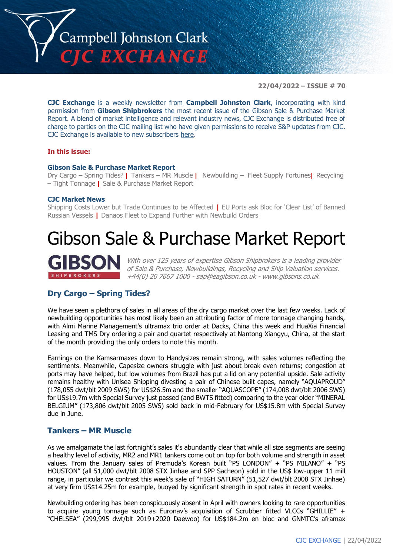

**22/04/2022 – ISSUE # 70**

**CJC Exchange** is a weekly newsletter from **Campbell Johnston Clark**, incorporating with kind permission from **Gibson Shipbrokers** the most recent issue of the Gibson Sale & Purchase Market Report. A blend of market intelligence and relevant industry news, CJC Exchange is distributed free of charge to parties on the CJC mailing list who have given permissions to receive S&P updates from CJC. CJC Exchange is available to new subscribers [here.](mailto:jamesc@cjclaw.com?subject=CJC%20Exchange%20sign-up)

### **In this issue:**

### **Gibson Sale & Purchase Market Report**

Dry Cargo – Spring Tides? **|** Tankers – MR Muscle **|** Newbuilding – Fleet Supply Fortunes**|** Recycling – Tight Tonnage **|** Sale & Purchase Market Report

#### **CJC Market News**

Shipping Costs Lower but Trade Continues to be Affected **|** EU Ports ask Bloc for 'Clear List' of Banned Russian Vessels **|** Danaos Fleet to Expand Further with Newbuild Orders

# Gibson Sale & Purchase Market Report

With over 125 years of expertise Gibson Shipbrokers is a leading provider of Sale & Purchase, Newbuildings, Recycling and Ship Valuation services. +44(0) 20 7667 1000 - [sap@eagibson.co.uk](mailto:sap@eagibson.co.uk) - [www.gibsons.co.uk](https://protect-eu.mimecast.com/s/VO6nCGZzRS60KqcK1jQh/)

## **Dry Cargo – Spring Tides?**

We have seen a plethora of sales in all areas of the dry cargo market over the last few weeks. Lack of newbuilding opportunities has most likely been an attributing factor of more tonnage changing hands, with Almi Marine Management's ultramax trio order at Dacks, China this week and HuaXia Financial Leasing and TMS Dry ordering a pair and quartet respectively at Nantong Xiangyu, China, at the start of the month providing the only orders to note this month.

Earnings on the Kamsarmaxes down to Handysizes remain strong, with sales volumes reflecting the sentiments. Meanwhile, Capesize owners struggle with just about break even returns; congestion at ports may have helped, but low volumes from Brazil has put a lid on any potential upside. Sale activity remains healthy with Unisea Shipping divesting a pair of Chinese built capes, namely "AQUAPROUD" (178,055 dwt/blt 2009 SWS) for US\$26.5m and the smaller "AQUASCOPE" (174,008 dwt/blt 2006 SWS) for US\$19.7m with Special Survey just passed (and BWTS fitted) comparing to the year older "MINERAL BELGIUM" (173,806 dwt/blt 2005 SWS) sold back in mid-February for US\$15.8m with Special Survey due in June.

## **Tankers – MR Muscle**

As we amalgamate the last fortnight's sales it's abundantly clear that while all size segments are seeing a healthy level of activity, MR2 and MR1 tankers come out on top for both volume and strength in asset values. From the January sales of Premuda's Korean built "PS LONDON" + "PS MILANO" + "PS HOUSTON" (all 51,000 dwt/blt 2008 STX Jinhae and SPP Sacheon) sold in the US\$ low-upper 11 mill range, in particular we contrast this week's sale of "HIGH SATURN" (51,527 dwt/blt 2008 STX Jinhae) at very firm US\$14.25m for example, buoyed by significant strength in spot rates in recent weeks.

Newbuilding ordering has been conspicuously absent in April with owners looking to rare opportunities to acquire young tonnage such as Euronav's acquisition of Scrubber fitted VLCCs "GHILLIE" + "CHELSEA" (299,995 dwt/blt 2019+2020 Daewoo) for US\$184.2m en bloc and GNMTC's aframax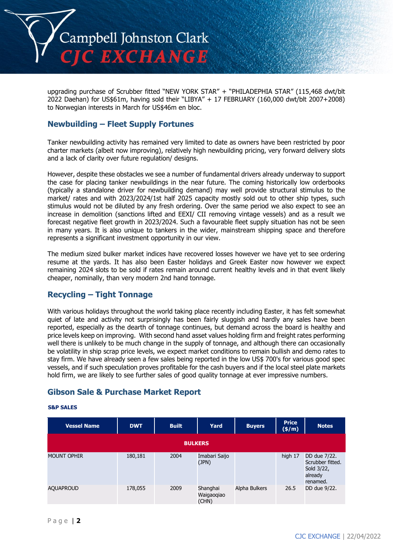

upgrading purchase of Scrubber fitted "NEW YORK STAR" + "PHILADEPHIA STAR" (115,468 dwt/blt 2022 Daehan) for US\$61m, having sold their "LIBYA" + 17 FEBRUARY (160,000 dwt/blt 2007+2008) to Norwegian interests in March for US\$46m en bloc.

## **Newbuilding – Fleet Supply Fortunes**

Tanker newbuilding activity has remained very limited to date as owners have been restricted by poor charter markets (albeit now improving), relatively high newbuilding pricing, very forward delivery slots and a lack of clarity over future regulation/ designs.

However, despite these obstacles we see a number of fundamental drivers already underway to support the case for placing tanker newbuildings in the near future. The coming historically low orderbooks (typically a standalone driver for newbuilding demand) may well provide structural stimulus to the market/ rates and with 2023/2024/1st half 2025 capacity mostly sold out to other ship types, such stimulus would not be diluted by any fresh ordering. Over the same period we also expect to see an increase in demolition (sanctions lifted and EEXI/ CII removing vintage vessels) and as a result we forecast negative fleet growth in 2023/2024. Such a favourable fleet supply situation has not be seen in many years. It is also unique to tankers in the wider, mainstream shipping space and therefore represents a significant investment opportunity in our view.

The medium sized bulker market indices have recovered losses however we have yet to see ordering resume at the yards. It has also been Easter holidays and Greek Easter now however we expect remaining 2024 slots to be sold if rates remain around current healthy levels and in that event likely cheaper, nominally, than very modern 2nd hand tonnage.

# **Recycling – Tight Tonnage**

With various holidays throughout the world taking place recently including Easter, it has felt somewhat quiet of late and activity not surprisingly has been fairly sluggish and hardly any sales have been reported, especially as the dearth of tonnage continues, but demand across the board is healthy and price levels keep on improving. With second hand asset values holding firm and freight rates performing well there is unlikely to be much change in the supply of tonnage, and although there can occasionally be volatility in ship scrap price levels, we expect market conditions to remain bullish and demo rates to stay firm. We have already seen a few sales being reported in the low US\$ 700's for various good spec vessels, and if such speculation proves profitable for the cash buyers and if the local steel plate markets hold firm, we are likely to see further sales of good quality tonnage at ever impressive numbers.

# **Gibson Sale & Purchase Market Report**

#### **S&P SALES**

| <b>Vessel Name</b> | <b>DWT</b> | <b>Built</b> | Yard                            | <b>Buyers</b> | <b>Price</b><br>(\$/m) | <b>Notes</b>                                                          |
|--------------------|------------|--------------|---------------------------------|---------------|------------------------|-----------------------------------------------------------------------|
|                    |            |              | <b>BULKERS</b>                  |               |                        |                                                                       |
| <b>MOUNT OPHIR</b> | 180,181    | 2004         | Imabari Saijo<br>(JPN)          |               | high 17                | DD due 7/22.<br>Scrubber fitted.<br>Sold 3/22,<br>already<br>renamed. |
| <b>AQUAPROUD</b>   | 178,055    | 2009         | Shanghai<br>Waigaogiao<br>(CHN) | Alpha Bulkers | 26.5                   | DD due 9/22.                                                          |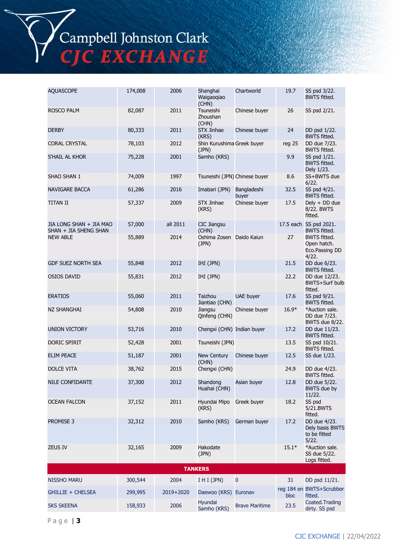Campbell Johnston Clark<br>CJC EXCHANGE

| <b>AQUASCOPE</b>                                 | 174,008 | 2006      | Shanghai<br>Waigaogiao<br>(CHN)       | Chartworld            | 19.7    | SS psd 3/22.<br><b>BWTS fitted.</b>                           |
|--------------------------------------------------|---------|-----------|---------------------------------------|-----------------------|---------|---------------------------------------------------------------|
| <b>ROSCO PALM</b>                                | 82,087  | 2011      | <b>Tsuneishi</b><br>Zhoushan<br>(CHN) | Chinese buyer         | 26      | SS psd 2/21.                                                  |
| <b>DERBY</b>                                     | 80,333  | 2011      | <b>STX Jinhae</b><br>(KRS)            | Chinese buyer         | 24      | DD psd 1/22.<br><b>BWTS fitted.</b>                           |
| <b>CORAL CRYSTAL</b>                             | 78,103  | 2012      | Shin Kurushima Greek buyer<br>(JPN)   |                       | reg 25  | DD due 7/23.<br><b>BWTS fitted.</b>                           |
| S'HAIL AL KHOR                                   | 75,228  | 2001      | Samho (KRS)                           |                       | 9.9     | SS psd 1/21.<br><b>BWTS fitted.</b><br>Dely 1/23.             |
| SHAO SHAN 1                                      | 74,009  | 1997      | Tsuneishi (JPN) Chinese buyer         |                       | 8.6     | SS+BWTS due<br>6/22.                                          |
| NAVIGARE BACCA                                   | 61,286  | 2016      | Imabari (JPN)                         | Bangladeshi<br>buyer  | 32.5    | SS psd 4/21.<br><b>BWTS fitted.</b>                           |
| <b>TITAN II</b>                                  | 57,337  | 2009      | STX Jinhae<br>(KRS)                   | Chinese buyer         | 17.5    | Dely + DD due<br>8/22. BWTS<br>fitted.                        |
| JIA LONG SHAN + JIA MAO<br>SHAN + JIA SHENG SHAN | 57,000  | all 2011  | <b>CIC Jiangsu</b><br>(CHN)           |                       |         | 17.5 each SS psd 2021.<br><b>BWTS fitted.</b>                 |
| <b>NEW ABLE</b>                                  | 55,889  | 2014      | Oshima Zosen Daido Kaiun<br>(JPN)     |                       | 27      | <b>BWTS fitted.</b><br>Open hatch.<br>Eco.Passing DD<br>4/22. |
| <b>GDF SUEZ NORTH SEA</b>                        | 55,848  | 2012      | IHI (JPN)                             |                       | 21.5    | DD due 6/23.<br><b>BWTS fitted.</b>                           |
| <b>OSIOS DAVID</b>                               | 55,831  | 2012      | IHI (JPN)                             |                       | 22.2    | DD due 12/23.<br><b>BWTS+Surf bulb</b><br>fitted.             |
| <b>ERATIOS</b>                                   | 55,060  | 2011      | Taizhou<br>Jiantiao (CHN)             | <b>UAE buyer</b>      | 17.6    | SS psd 9/21.<br><b>BWTS fitted.</b>                           |
| NZ SHANGHAI                                      | 54,808  | 2010      | Jiangsu<br>Qinfeng (CHN)              | Chinese buyer         | $16.9*$ | *Auction sale.<br>DD due 7/23.<br>BWTS due 8/22.              |
| <b>UNION VICTORY</b>                             | 53,716  | 2010      | Chengxi (CHN) Indian buyer            |                       | 17.2    | DD due 11/23.<br><b>BWTS fitted.</b>                          |
| DORIC SPIRIT                                     | 52,428  | 2001      | Tsuneishi (JPN)                       |                       | 13.5    | SS psd 10/21.<br><b>BWTS fitted.</b>                          |
| <b>ELIM PEACE</b>                                | 51,187  | 2001      | New Century<br>(CHN)                  | Chinese buyer         | 12.5    | SS due 1/23.                                                  |
| DOLCE VITA                                       | 38,762  | 2015      | Chengxi (CHN)                         |                       | 24.9    | DD due 4/23.<br><b>BWTS fitted.</b>                           |
| NILE CONFIDANTE                                  | 37,300  | 2012      | Shandong<br>Huahai (CHN)              | Asian buyer           | 12.8    | DD due 5/22<br><b>BWTS</b> due by<br>11/22.                   |
| <b>OCEAN FALCON</b>                              | 37,152  | 2011      | Hyundai Mipo<br>(KRS)                 | Greek buyer           | 18.2    | SS psd<br>5/21.BWTS<br>fitted.                                |
| <b>PROMISE 3</b>                                 | 32,312  | 2010      | Samho (KRS)                           | German buyer          | 17.2    | DD due 4/23.<br>Dely basis BWTS<br>to be fitted<br>5/22.      |
| <b>ZEUS IV</b>                                   | 32,165  | 2009      | Hakodate<br>(JPN)                     |                       | $15.1*$ | *Auction sale.<br>SS due 5/22.<br>Logs fitted.                |
|                                                  |         |           | <b>TANKERS</b>                        |                       |         |                                                               |
| <b>NISSHO MARU</b>                               | 300,544 | 2004      | I H I (JPN)                           | 0                     | 31      | DD psd 11/21.                                                 |
| <b>GHILLIE + CHELSEA</b>                         | 299,995 | 2019+2020 | Daewoo (KRS) Euronav                  |                       | bloc    | reg 184 en BWTS+Scrubber<br>fitted.                           |
| <b>SKS SKEENA</b>                                | 158,933 | 2006      | Hyundai<br>Samho (KRS)                | <b>Brave Maritime</b> | 23.5    | Coated.Trading<br>dirty. SS psd                               |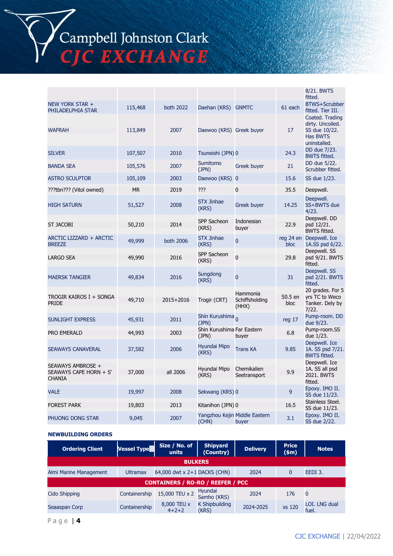Campbell Johnston Clark<br>CJC EXCHANGE

|                                                              |         |           |                                      |                                        |                   | 8/21. BWTS<br>fitted.                                                            |
|--------------------------------------------------------------|---------|-----------|--------------------------------------|----------------------------------------|-------------------|----------------------------------------------------------------------------------|
| NEW YORK STAR +<br>PHILADELPHIA STAR                         | 115,468 | both 2022 | Daehan (KRS) GNMTC                   |                                        | 61 each           | <b>BTWS+Scrubber</b><br>fitted. Tier III.                                        |
| <b>WAFRAH</b>                                                | 113,849 | 2007      | Daewoo (KRS) Greek buyer             |                                        | 17                | Coated. Trading<br>dirty. Uncoiled.<br>SS due 10/22.<br>Has BWTS<br>uninstalled. |
| <b>SILVER</b>                                                | 107,507 | 2010      | Tsuneishi (JPN) 0                    |                                        | 24.3              | DD due 7/23.<br><b>BWTS fitted.</b>                                              |
| <b>BANDA SEA</b>                                             | 105,576 | 2007      | Sumitomo<br>(JPN)                    | Greek buyer                            | 21                | DD due 5/22.<br>Scrubber fitted.                                                 |
| <b>ASTRO SCULPTOR</b>                                        | 105,109 | 2003      | Daewoo (KRS) 0                       |                                        | 15.6              | SS due 1/23.                                                                     |
| ???tbn??? (Vitol owned)                                      | МR      | 2019      | ???                                  | 0                                      | 35.5              | Deepwell.                                                                        |
| <b>HIGH SATURN</b>                                           | 51,527  | 2008      | <b>STX Jinhae</b><br>(KRS)           | Greek buyer                            | 14.25             | Deepwell.<br>SS+BWTS due<br>4/23.                                                |
| <b>ST JACOBI</b>                                             | 50,210  | 2014      | SPP Sacheon<br>(KRS)                 | Indonesian<br>buyer                    | 22.9              | Deepwell. DD<br>psd 12/21.<br><b>BWTS fitted.</b>                                |
| ARCTIC LIZZARD + ARCTIC<br><b>BREEZE</b>                     | 49,999  | both 2006 | <b>STX Jinhae</b><br>(KRS)           | 0                                      | reg 24 en<br>bloc | Deepwell. Ice<br>1A.SS psd 6/22.                                                 |
| <b>LARGO SEA</b>                                             | 49,990  | 2016      | SPP Sacheon<br>(KRS)                 | 0                                      | 29.8              | Deepwell. SS<br>psd 9/21. BWTS<br>fitted.                                        |
| <b>MAERSK TANGIER</b>                                        | 49,834  | 2016      | Sungdong<br>(KRS)                    | 0                                      | 31                | Deepwell. SS<br>psd 2/21. BWTS<br>fitted.                                        |
| TROGIR KAIROS I + SONGA<br><b>PRIDE</b>                      | 49,710  | 2015+2016 | Trogir (CRT)                         | Hammonia<br>Schiffsholding<br>(HHX)    | 50.5 en<br>bloc   | 20 grades. For 5<br>yrs TC to Weco<br>Tanker. Dely by<br>7/22.                   |
| <b>SUNLIGHT EXPRESS</b>                                      | 45,931  | 2011      | Shin Kurushima <sub>n</sub><br>(JPN) |                                        | reg 17            | Pump-room. DD<br>due 9/23.                                                       |
| PRO EMERALD                                                  | 44,993  | 2003      | Shin Kurushima Far Eastern<br>(JPN)  | buyer                                  | 6.8               | Pump-room.SS<br>due 1/23.                                                        |
| <b>SEAWAYS CANAVERAL</b>                                     | 37,582  | 2006      | Hyundai Mipo<br>(KRS)                | <b>Trans KA</b>                        | 9.85              | Deepwell. Ice<br>1A. SS psd 7/21.<br><b>BWTS fitted.</b>                         |
| SEAWAYS AMBROSE +<br>SEAWAYS CAPE HORN + S'<br><b>CHANIA</b> | 37,000  | all 2006  | Hyundai Mipo<br>(KRS)                | Chemikalien<br>Seetransport            | 9.9               | Deepwell. Ice<br>1A. SS all psd<br>2021. BWTS<br>fitted.                         |
| <b>VALE</b>                                                  | 19,997  | 2008      | Sekwang (KRS) 0                      |                                        | 9                 | Epoxy. IMO II.<br>SS due 11/23.                                                  |
| <b>FOREST PARK</b>                                           | 19,803  | 2013      | Kitanihon (JPN) 0                    |                                        | 16.5              | Stainless Steel.<br>SS due 11/23.                                                |
| PHUONG DONG STAR                                             | 9,045   | 2007      | (CHN)                                | Yangzhou Kejin Middle Eastern<br>buyer | 3.1               | Epoxy. IMO II.<br>SS due 2/22.                                                   |

#### **NEWBUILDING ORDERS**

| <b>Ordering Client</b>                   | <b>Vessel Type</b> | Size / No. of<br>units       | <b>Shipyard</b><br>(Country)   | <b>Delivery</b> | <b>Price</b><br>$(*m)$ | <b>Notes</b>           |
|------------------------------------------|--------------------|------------------------------|--------------------------------|-----------------|------------------------|------------------------|
| <b>BULKERS</b>                           |                    |                              |                                |                 |                        |                        |
| Almi Marine Management                   | <b>Ultramax</b>    | 64,000 dwt x 2+1 DACKS (CHN) |                                | 2024            | 0                      | EEDI 3.                |
| <b>CONTAINERS / RO-RO / REEFER / PCC</b> |                    |                              |                                |                 |                        |                        |
| Cido Shipping                            | Containership      | 15,000 TEU x 2               | Hyundai<br>Samho (KRS)         | 2024            | 176                    | 0                      |
| Seaaspan Corp                            | Containership      | 8,000 TEU x<br>$4 + 2 + 2$   | <b>K Shipbuilding</b><br>(KRS) | 2024-2025       | xs 120                 | LOI. LNG dual<br>fuel. |

P a g e | **4**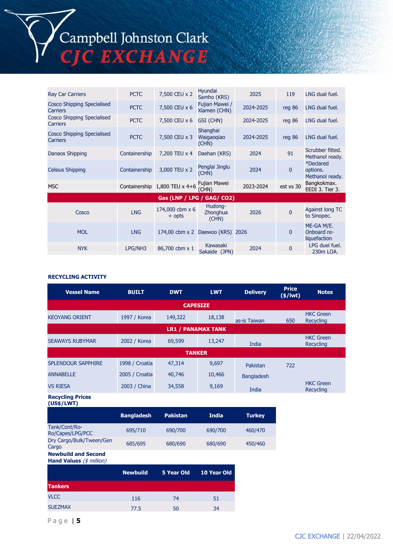Campbell Johnston Clark<br>CJC EXCHANGE

| <b>Ray Car Carriers</b>                       | <b>PCTC</b>   | 7,500 CEU x 2                    | Hyundai<br>Samho (KRS)          | 2025      | 119          | LNG dual fuel.                            |
|-----------------------------------------------|---------------|----------------------------------|---------------------------------|-----------|--------------|-------------------------------------------|
| Cosco Shipping Specialised<br>Carriers        | <b>PCTC</b>   | 7,500 CEU x 6                    | Fujian Mawei /<br>Xiamen (CHN)  | 2024-2025 | reg 86       | LNG dual fuel.                            |
| Cosco Shipping Specialised<br><b>Carriers</b> | <b>PCTC</b>   | 7,500 CEU x 6                    | GSI (CHN)                       | 2024-2025 | reg 86       | LNG dual fuel.                            |
| Cosco Shipping Specialised<br><b>Carriers</b> | <b>PCTC</b>   | 7,500 CEU x 3                    | Shanghai<br>Waigaogiao<br>(CHN) | 2024-2025 | req86        | LNG dual fuel.                            |
| Danaos Shipping                               | Containership | 7,200 TEU x 4                    | Daehan (KRS)                    | 2024      | 91           | Scrubber fitted.<br>Methanol ready.       |
| <b>Celsius Shipping</b>                       | Containership | 3,000 TEU x 2                    | Penglai Jinglu<br>(CHN)         | 2024      | $\mathbf{0}$ | *Declared<br>options.<br>Methanol ready.  |
| <b>MSC</b>                                    |               | Containership 1,800 TEU x 4+6    | Fujian Mawei<br>(CHN)           | 2023-2024 | est xs 30    | Bangkokmax.<br>EEDI 3. Tier 3.            |
|                                               |               | Gas (LNP / LPG / GAG/ CO2)       |                                 |           |              |                                           |
| Cosco                                         | <b>LNG</b>    | 174,000 cbm x 6<br>$+$ opts      | Hudong-<br>Zhonghua<br>(CHN)    | 2026      | $\Omega$     | Against long TC<br>to Sinopec.            |
| <b>MOL</b>                                    | <b>LNG</b>    | 174,00 cbm x 2 Daewoo (KRS) 2026 |                                 |           | 0            | ME-GA M/E.<br>Onboard re-<br>liquefaction |
| <b>NYK</b>                                    | LPG/NH3       | 86,700 cbm x 1                   | Kawasaki<br>Sakaide (JPN)       | 2024      | 0            | LPG duel fuel.<br>230m LOA.               |

#### **RECYCLING ACTIVITY**

| <b>Vessel Name</b>                                                | <b>BUILT</b>      | <b>DWT</b>        | <b>LWT</b>   | <b>Delivery</b>   | <b>Price</b><br>$(\frac{2}{3})$ | <b>Notes</b>                         |  |
|-------------------------------------------------------------------|-------------------|-------------------|--------------|-------------------|---------------------------------|--------------------------------------|--|
| <b>CAPESIZE</b>                                                   |                   |                   |              |                   |                                 |                                      |  |
| <b>KEOYANG ORIENT</b>                                             | 1997 / Korea      | 149,322           | 18,138       | as-is Taiwan      | 650                             | <b>HKC</b> Green<br><b>Recycling</b> |  |
| <b>LR1 / PANAMAX TANK</b>                                         |                   |                   |              |                   |                                 |                                      |  |
| <b>SEAWAYS RUBYMAR</b>                                            | 2002 / Korea      | 69,599            | 13,247       | India             |                                 | <b>HKC</b> Green<br>Recycling        |  |
|                                                                   |                   | <b>TANKER</b>     |              |                   |                                 |                                      |  |
| <b>SPLENDOUR SAPPHIRE</b>                                         | 1998 / Croatia    | 47,314            | 9,697        | Pakistan          | 722                             |                                      |  |
| <b>ANNABELLE</b>                                                  | 2005 / Croatia    | 40,746            | 10,466       | <b>Bangladesh</b> |                                 |                                      |  |
| <b>VS RIESA</b>                                                   | 2003 / China      | 34,558            | 9,169        | India             |                                 | <b>HKC</b> Green<br><b>Recycling</b> |  |
| <b>Recycling Prices</b><br>(US\$/LWT)                             |                   |                   |              |                   |                                 |                                      |  |
|                                                                   | <b>Bangladesh</b> | <b>Pakistan</b>   | <b>India</b> | <b>Turkey</b>     |                                 |                                      |  |
| Tank/Cont/Ro-<br>Ro/Capes/LPG/PCC                                 | 695/710           | 690/700           | 690/700      | 460/470           |                                 |                                      |  |
| Dry Cargo/Bulk/Tween/Gen<br>Cargo                                 | 685/695           | 680/690           | 680/690      | 450/460           |                                 |                                      |  |
| <b>Newbuild and Second</b><br>Hand Values $(\frac{4}{3}$ million) |                   |                   |              |                   |                                 |                                      |  |
|                                                                   | <b>Newbuild</b>   | <b>5 Year Old</b> | 10 Year Old  |                   |                                 |                                      |  |
| <b>Tankers</b>                                                    |                   |                   |              |                   |                                 |                                      |  |
| <b>VLCC</b>                                                       | 116               | 74                | 51           |                   |                                 |                                      |  |
| <b>SUEZMAX</b>                                                    | 77.5              | 50                | 34           |                   |                                 |                                      |  |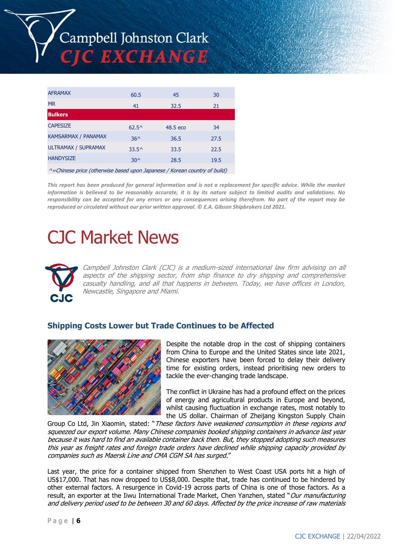

| <b>AFRAMAX</b>                                                           | 60.5           | 45       | 30   |
|--------------------------------------------------------------------------|----------------|----------|------|
| <b>MR</b>                                                                | 41             | 32.5     | 21   |
| <b>Bulkers</b>                                                           |                |          |      |
| <b>CAPESIZE</b>                                                          | $62.5^{\circ}$ | 48.5 eco | 34   |
| <b>KAMSARMAX / PANAMAX</b>                                               | $36^$          | 36.5     | 27.5 |
| <b>ULTRAMAX / SUPRAMAX</b>                                               | $33.5^{\circ}$ | 33.5     | 22.5 |
| <b>HANDYSIZE</b>                                                         | $30^$          | 28.5     | 19.5 |
| A. Ohio est puite (ethemics heard were tenedered Usuan computered build) |                |          |      |

^=Chinese price (otherwise based upon Japanese / Korean country of build)

*This report has been produced for general information and is not a replacement for specific advice. While the market information is believed to be reasonably accurate, it is by its nature subject to limited audits and validations. No responsibility can be accepted for any errors or any consequences arising therefrom. No part of the report may be reproduced or circulated without our prior written approval. © E.A. Gibson Shipbrokers Ltd 2021.*

# CJC Market News



Campbell Johnston Clark (CJC) is a medium-sized international law firm advising on all aspects of the shipping sector, from ship finance to dry shipping and comprehensive casualty handling, and all that happens in between. Today, we have offices in London, Newcastle, Singapore and Miami.

## **Shipping Costs Lower but Trade Continues to be Affected**



Despite the notable drop in the cost of shipping containers from China to Europe and the United States since late 2021, Chinese exporters have been forced to delay their delivery time for existing orders, instead prioritising new orders to tackle the ever-changing trade landscape.

The conflict in Ukraine has had a profound effect on the prices of energy and agricultural products in Europe and beyond, whilst causing fluctuation in exchange rates, most notably to the US dollar. Chairman of Zheijang Kingston Supply Chain

Group Co Ltd, Jin Xiaomin, stated: "These factors have weakened consumption in these regions and squeezed our export volume. Many Chinese companies booked shipping containers in advance last year because it was hard to find an available container back then. But, they stopped adopting such measures this year as freight rates and foreign trade orders have declined while shipping capacity provided by companies such as Maersk Line and CMA CGM SA has surged."

Last year, the price for a container shipped from Shenzhen to West Coast USA ports hit a high of US\$17,000. That has now dropped to US\$8,000. Despite that, trade has continued to be hindered by other external factors. A resurgence in Covid-19 across parts of China is one of those factors. As a result, an exporter at the Iiwu International Trade Market, Chen Yanzhen, stated "Our manufacturing and delivery period used to be between 30 and 60 days. Affected by the price increase of raw materials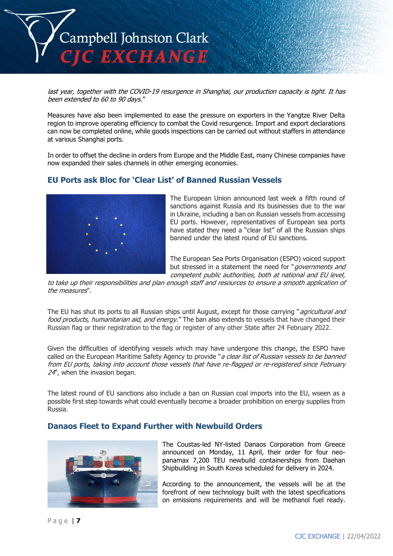

last year, together with the COVID-19 resurgence in Shanghai, our production capacity is tight. It has been extended to 60 to 90 days."

Measures have also been implemented to ease the pressure on exporters in the Yangtze River Delta region to improve operating efficiency to combat the Covid resurgence. Import and export declarations can now be completed online, while goods inspections can be carried out without staffers in attendance at various Shanghai ports.

In order to offset the decline in orders from Europe and the Middle East, many Chinese companies have now expanded their sales channels in other emerging economies.

## **EU Ports ask Bloc for 'Clear List' of Banned Russian Vessels**



The European Union announced last week a fifth round of sanctions against Russia and its businesses due to the war in Ukraine, including a ban on Russian vessels from accessing EU ports. However, representatives of European sea ports have stated they need a "clear list" of all the Russian ships banned under the latest round of EU sanctions.

The European Sea Ports Organisation (ESPO) voiced support but stressed in a statement the need for "*governments and* competent public authorities, both at national and EU level,

to take up their responsibilities and plan enough staff and resources to ensure a smooth application of the measures".

The EU has shut its ports to all Russian ships until August, except for those carrying "*agricultural and* food products, humanitarian aid, and energy." The ban also extends to vessels that have changed their Russian flag or their registration to the flag or register of any other State after 24 February 2022.

Given the difficulties of identifying vessels which may have undergone this change, the ESPO have called on the European Maritime Safety Agency to provide "a clear list of Russian vessels to be banned from EU ports, taking into account those vessels that have re-flagged or re-registered since February 24", when the invasion began.

The latest round of EU sanctions also include a ban on Russian coal imports into the EU, wseen as a possible first step towards what could eventually become a broader prohibition on energy supplies from Russia.

## **Danaos Fleet to Expand Further with Newbuild Orders**



The Coustas-led NY-listed Danaos Corporation from Greece announced on Monday, 11 April, their order for four neopanamax 7,200 TEU newbuild containerships from Daehan Shipbuilding in South Korea scheduled for delivery in 2024.

According to the announcement, the vessels will be at the forefront of new technology built with the latest specifications on emissions requirements and will be methanol fuel ready.